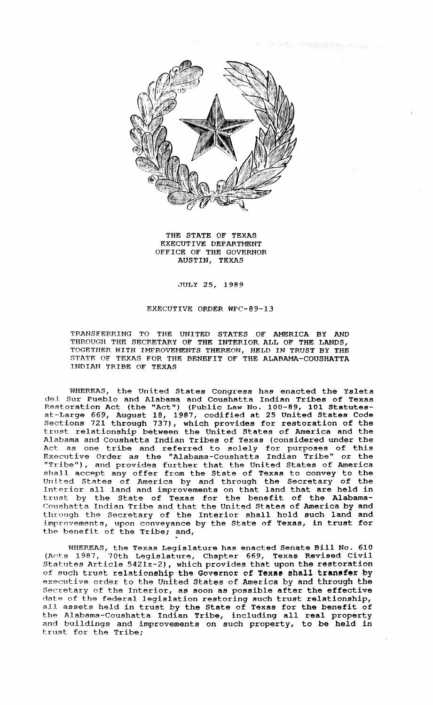

THE STATE OF TEXAS EXECUTIVE DEPARTMENT OFFICE OF THE GOVERNOR AUSTIN, TEXAS

## JULY 25, 1989

## EXECUTIVE ORDER WPC-89-13

'I'RANSFERRING TO THE UNITED STATES OF AMERICA BY AND THROUGH THE SECRETARY OF THE INTERIOR ALL OF THE LANDS, TOGETHER WITH IMPROVEMENTS THEREON, HELD IN TRUST BY THE STATE OF TEXAS FOR THE BENEFIT OF THE ALABAMA-COUSHATTA INDIAN TRIBE OF TEXAS

WHEREAS, the United States Congress has enacted the Ysleta del Sur Pueblo and Alabama and Coushatta Indian Tribes of Texas Restoration Act (the "Act") (Public Law No. 100-89, 101 Statutesat-Large 669, August 18, 1987, codified at 25 United States Code Sections 721 through 737), which provides for restoration of the trust relationship between the United States of America and the Alabama and Coushatta Indian Tribes of Texas (considered under the Act as one tribe and referred to solely for purposes of this Executive Order as the "Alabama-Coushatta Indian Tribe" or the "Tr.·ibe"), and provides further that the United States of America shall accept any offer from the State of Texas to convey to the United States of America by and through the Secretary of the<br>Interior all land and improvements on that land that are held in trust by the State of Texas for the benefit of the Alabama-Coushatta Indian Tribe and that the United States of America by and through the Secretary of the Interior shall hold such land and improvements, upon conveyance by the State of Texas, in trust for the benefit of the Tribe; and,

WHEREAS, the Texas Legislature has enacted Senate Bill No. 610 (Acts 1987, 70th Legislature, Chapter 669, Texas Revised Civil Statutes Article 5421z-2), which provides that upon the restoration of such trust relationship the Governor of Texas shall transfer by executive order to the United states of America by and through the Secretary of the Interior, as soon as possible after the effective date of the federal legislation restoring such trust relationship, all assets held in trust by the State of Texas for the benefit of the Alabama-Coushatta Indian Tribe, including all real property and buildings and improvements on such property, to be held in trust for the Tribe;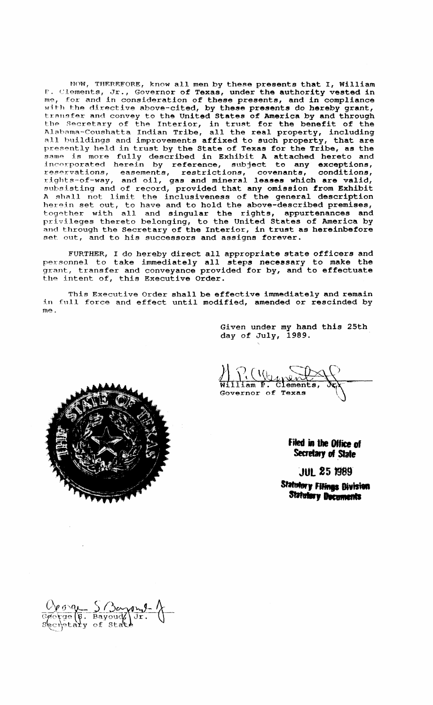NOW, THEREFORE, know all men by these presents that I, William P. Clements, Jr., Governor of Texas, under the authority vested in me, for and in consideration of these presents, and in compliance with the directive above-cited, by these presents do hereby grant, transfer and convey to the United States of America by and through the Secretary of the Interior, in trust for the benefit of the Alabama-Coushatta Indian Tribe, all the real property, including all buildings and improvements affixed to such property, that are presently held in trust by the State of Texas for the Tribe, as the same is more fully described in Exhibit A attached hereto and incorporated herein by reference, subject to any exceptions, reservations, easements, restrictions, covenants, conditions, rights-of-way, and oil, gas and mineral leases which are valid, subsisting and of record, provided that any omission from Exhibit A shall not limit the inclusiveness of the general description herein set out, to have and to hold the above-described premises, together with all and singular the rights, appurtenances and privileges thereto belonging, to the United States of America by and through the Secretary of the Interior, in trust as hereinbefore set out, and to his successors and assigns forever.

FURTHER, <sup>I</sup> do hereby direct all appropriate state officers and personnel to take immediately all steps necessary to make the grant, transfer and conveyance provided for by, and to effectuate the intent of, this Executive Order.

This Executive Order shall be effective immediately and remain in full force and effect until modified, amended or rescinded by me.

> Given under my hand this 25th day of July, 1989.

 $\vec{P}$ . Governor of Texas

**Filed in the Office of**<br>**Secretary of State** 

**JUl251989·**

~,fIiinp **.,..** ل JUL & 3 *1989*<br>Ablery Filings Bivisi<br>Statu<mark>lary Documents</mark>



Opon SBarphy<br>George (6. Bayoud Jr.<br>Secretary of state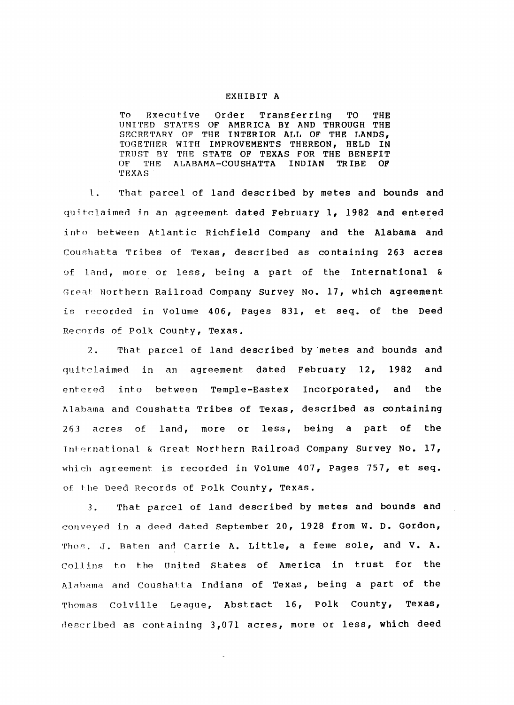## EXHIBIT A

To Executive Order Transferring TO THE UNITED STATES OF AMERICA BY AND THROUGH THE SECRETARY OF THE INTERIOR ALL OF THE LANDS, TOGETHER WITH IMPROVEMENTS THEREON, HELD IN TRUST BY THE STATE OF TEXAS FOR THE BENEFIT OF THE ALABAMA-COUSHATTA INDIAN TRIBE OF THE ALABAMA-COUSHATTA 'rEXAS

1. That parcel of land described by metes and bounds and quitclaimed in an agreement dated February 1, 1982 and entered into between Atlantic Richfield Company and the Alabama and Coushatta Tribes of Texas, described as containing 263 acres of land, more or less, being <sup>a</sup> part of the International & Great Northern Railroad Company survey No. 17, which agreement is recorded in Volume 406, Pages 831, et seq. of the Deed Records of Polk County, Texas.

2. That parcel of land described by 'metes and bounds and quitclaimed in an agreement dated February 12, 1982 and entered into between Temple-Eastex Incorporated, and the Alabama and Coushatta Tribes of Texas, described as containing 263 acres of land, more or less, being <sup>a</sup> part of the International & Great Northern Railroad Company Survey No. 17, which agreement is recorded in Volume 407, pages 757, et seq. of the Deed Records of Polk County, Texas.

3. That parcel of land described by metes and bounds and conveyed in a deed dated September 20, 1928 from W. D. Gordon, Thos. J. Baten and Carrie A. Little, a feme sole, and V. A. Collins to the United States of America in trust for the Alabama and Coushatta Indians of Texas, being a part of the Thomas Colville League, Abstract 16, Polk County, Texas, described as containing 3,071 acres, more or less, which deed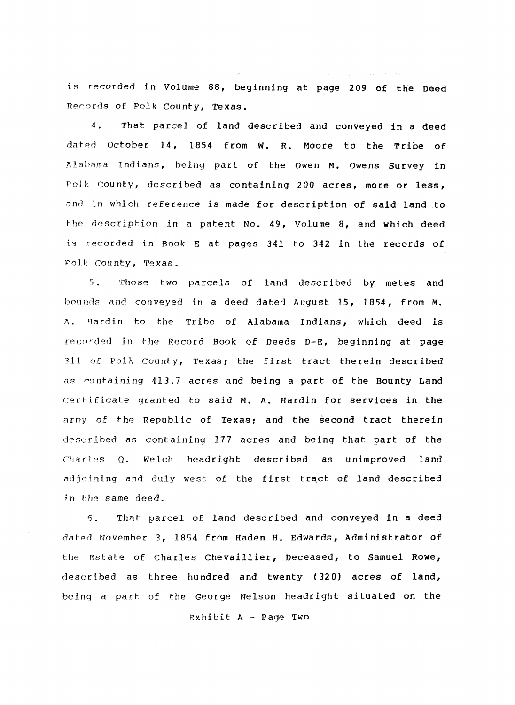is recorded in Volume 88, beginning at page 209 of the Deed Records of Polk County, Texas.

4. That parcel of land described and conveyed in a deed dated October 14, 1854 from W. R. Moore *to* the Tribe of Alabama Indians, being part of the Owen M. Owens Survey in Polk county, described as containing 200 acres, more or less, and in which reference is made for description of said land to the description in a patent No. 49, Volume 8, and which deed is recorded in Book <sup>E</sup> at pages 341 to 342 in the records of Polk County, Texas.

5. Those two parcels of land described by metes and bounds and conveyed in a deed dated August 15, 1854, from M. A. Hardin to the Tribe of Alabama Indians, which deed is recorded in the Record Book of Deeds D-E, beginning at page <sup>311</sup> of Polk county, Texas; the first tract therein described as containing 413.7 acres and being a part of the Bounty Land Certificate granted to said M. A. Hardin for services in the army of the Republic of Texas; and the second tract therein described as containing 177 acres and being that part of the Charles Q. Welch headright described as unimproved land adjoining and duly west of the first tract of land described in the same deed.

6. That parcel of land described and conveyed in a deed dated November 3, 1854 from Haden H. Edwards, Administrator of the Estate of Charles Chevai1lier, Deceased, to Samuel Rowe, described as three hundred and twenty (320) acres of land, being a part of the George Nelson headright situated on the

Exhibit A - page Two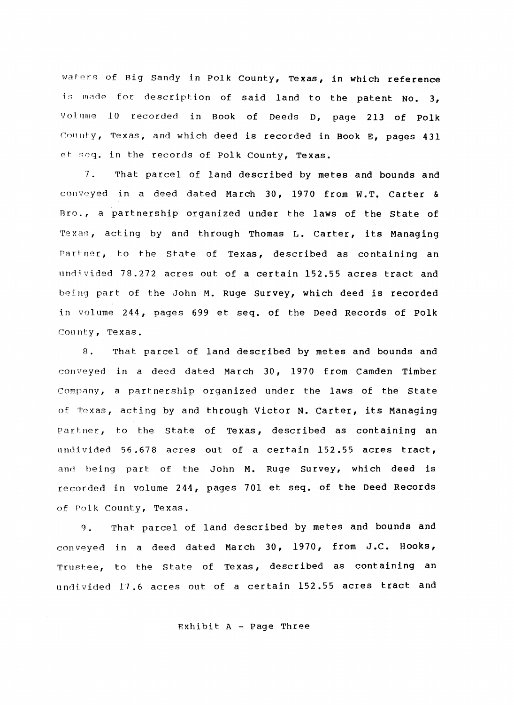waters of Big Sandy in Polk County, Texas, in which reference is made for description of said land to the patent No. 3, Volume 10 recorded in Book of Deeds 0, page 213 of Polk County, Texas, and which deed is recorded in Book E, pages 431 et seq. in the records of Polk County, Texas.

7. That parcel of land described by metes and bounds and conveyed in a deed dated March 30, 1970 from W.T. Carter & Bro., <sup>a</sup> partnership organized under the laws of the state of Texas, acting by and through Thomas L. Carter, its Managing Partner, to the state of Texas, described as containing an undivided 78.272 acres out of <sup>a</sup> certain 152.55 acres tract and being part of the John M. Ruge Survey, which deed is recorded in volume 244, pages 699 et seq. of the Deed Records of Polk County, Texas.

8. That parcel of land described by metes and bounds and conveyed in a deed dated March 30, 1970 from camden Timber Company, a partnership organized under the laws of the State of Texas, acting by and through Victor N. Carter, its Managing partner, to the State of Texas, described as containing an undivided 56.678 acres out of <sup>a</sup> certain 152.55 acres tract, and being part of the John M. Ruge Survey, which deed is recorded in volume 244, pages 701 et seq. of the Deed Records of Polk County, Texas.

9. That parcel of land described by metes and bounds and conveyed in <sup>a</sup> deed dated March 30,1970, from J.C. Hooks, Trustee, to the State of Texas, described as containing an undivided 17.6 acres out of <sup>a</sup> certain 152.55 acres tract and